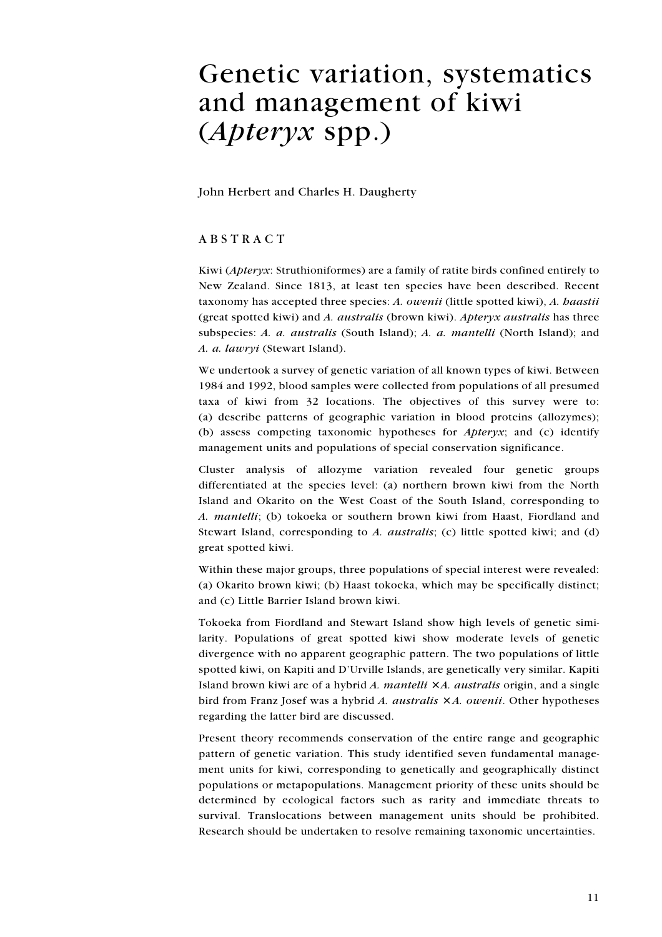# Genetic variation, systematics and management of kiwi (Apteryx spp.)

John Herbert and Charles H. Daugherty

# ABSTRACT

Kiwi (Apteryx: Struthioniformes) are a family of ratite birds confined entirely to New Zealand. Since 1813, at least ten species have been described. Recent taxonomy has accepted three species: A. owenii (little spotted kiwi), A. haastii (great spotted kiwi) and A. australis (brown kiwi). Apteryx australis has three subspecies: A. a. australis (South Island); A. a. mantelli (North Island); and A. a. lawryi (Stewart Island).

We undertook a survey of genetic variation of all known types of kiwi. Between 1984 and 1992, blood samples were collected from populations of all presumed taxa of kiwi from 32 locations. The objectives of this survey were to: (a) describe patterns of geographic variation in blood proteins (allozymes); (b) assess competing taxonomic hypotheses for Apteryx; and (c) identify management units and populations of special conservation significance.

Cluster analysis of allozyme variation revealed four genetic groups differentiated at the species level: (a) northern brown kiwi from the North Island and Okarito on the West Coast of the South Island, corresponding to A. mantelli; (b) tokoeka or southern brown kiwi from Haast, Fiordland and Stewart Island, corresponding to A. australis; (c) little spotted kiwi; and (d) great spotted kiwi.

Within these major groups, three populations of special interest were revealed: (a) Okarito brown kiwi; (b) Haast tokoeka, which may be specifically distinct; and (c) Little Barrier Island brown kiwi.

Tokoeka from Fiordland and Stewart Island show high levels of genetic similarity. Populations of great spotted kiwi show moderate levels of genetic divergence with no apparent geographic pattern. The two populations of little spotted kiwi, on Kapiti and D'Urville Islands, are genetically very similar. Kapiti Island brown kiwi are of a hybrid A. mantelli  $\times$  A. australis origin, and a single bird from Franz Josef was a hybrid A. australis  $\times A$ . owenii. Other hypotheses regarding the latter bird are discussed.

Present theory recommends conservation of the entire range and geographic pattern of genetic variation. This study identified seven fundamental management units for kiwi, corresponding to genetically and geographically distinct populations or metapopulations. Management priority of these units should be determined by ecological factors such as rarity and immediate threats to survival. Translocations between management units should be prohibited. Research should be undertaken to resolve remaining taxonomic uncertainties.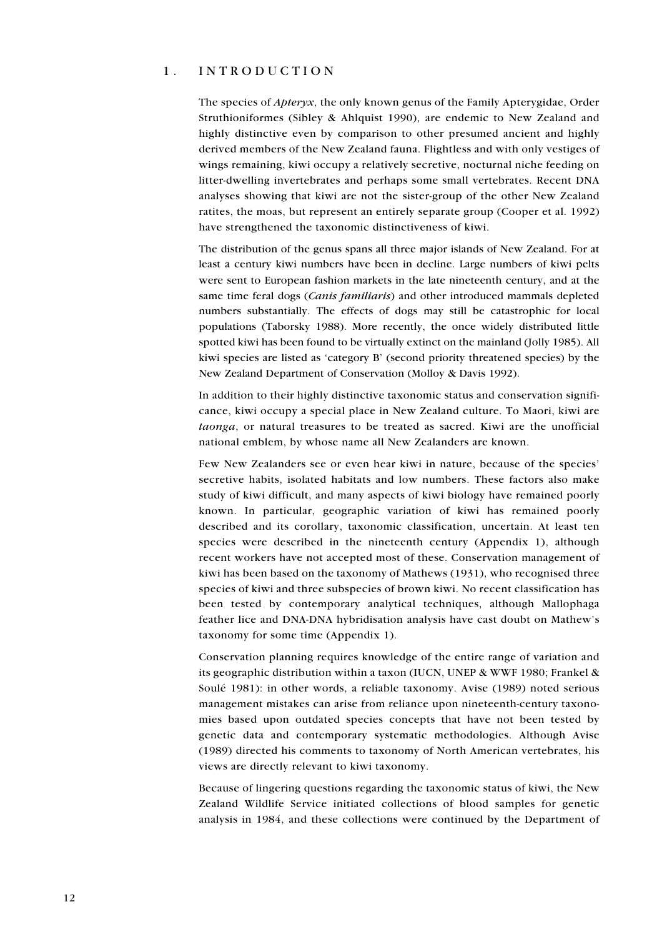#### 1. INTRODUCTION

The species of Apteryx, the only known genus of the Family Apterygidae, Order Struthioniformes (Sibley & Ahlquist 1990), are endemic to New Zealand and highly distinctive even by comparison to other presumed ancient and highly derived members of the New Zealand fauna. Flightless and with only vestiges of wings remaining, kiwi occupy a relatively secretive, nocturnal niche feeding on litter-dwelling invertebrates and perhaps some small vertebrates. Recent DNA analyses showing that kiwi are not the sister-group of the other New Zealand ratites, the moas, but represent an entirely separate group (Cooper et al. 1992) have strengthened the taxonomic distinctiveness of kiwi.

The distribution of the genus spans all three major islands of New Zealand. For at least a century kiwi numbers have been in decline. Large numbers of kiwi pelts were sent to European fashion markets in the late nineteenth century, and at the same time feral dogs (Canis familiaris) and other introduced mammals depleted numbers substantially. The effects of dogs may still be catastrophic for local populations (Taborsky 1988). More recently, the once widely distributed little spotted kiwi has been found to be virtually extinct on the mainland (Jolly 1985). All kiwi species are listed as 'category B' (second priority threatened species) by the New Zealand Department of Conservation (Molloy & Davis 1992).

In addition to their highly distinctive taxonomic status and conservation significance, kiwi occupy a special place in New Zealand culture. To Maori, kiwi are taonga, or natural treasures to be treated as sacred. Kiwi are the unofficial national emblem, by whose name all New Zealanders are known.

Few New Zealanders see or even hear kiwi in nature, because of the species' secretive habits, isolated habitats and low numbers. These factors also make study of kiwi difficult, and many aspects of kiwi biology have remained poorly known. In particular, geographic variation of kiwi has remained poorly described and its corollary, taxonomic classification, uncertain. At least ten species were described in the nineteenth century (Appendix 1), although recent workers have not accepted most of these. Conservation management of kiwi has been based on the taxonomy of Mathews (1931), who recognised three species of kiwi and three subspecies of brown kiwi. No recent classification has been tested by contemporary analytical techniques, although Mallophaga feather lice and DNA-DNA hybridisation analysis have cast doubt on Mathew's taxonomy for some time (Appendix 1).

Conservation planning requires knowledge of the entire range of variation and its geographic distribution within a taxon (IUCN, UNEP & WWF 1980; Frankel & Soulé 1981): in other words, a reliable taxonomy. Avise (1989) noted serious management mistakes can arise from reliance upon nineteenth-century taxonomies based upon outdated species concepts that have not been tested by genetic data and contemporary systematic methodologies. Although Avise (1989) directed his comments to taxonomy of North American vertebrates, his views are directly relevant to kiwi taxonomy.

Because of lingering questions regarding the taxonomic status of kiwi, the New Zealand Wildlife Service initiated collections of blood samples for genetic analysis in 1984, and these collections were continued by the Department of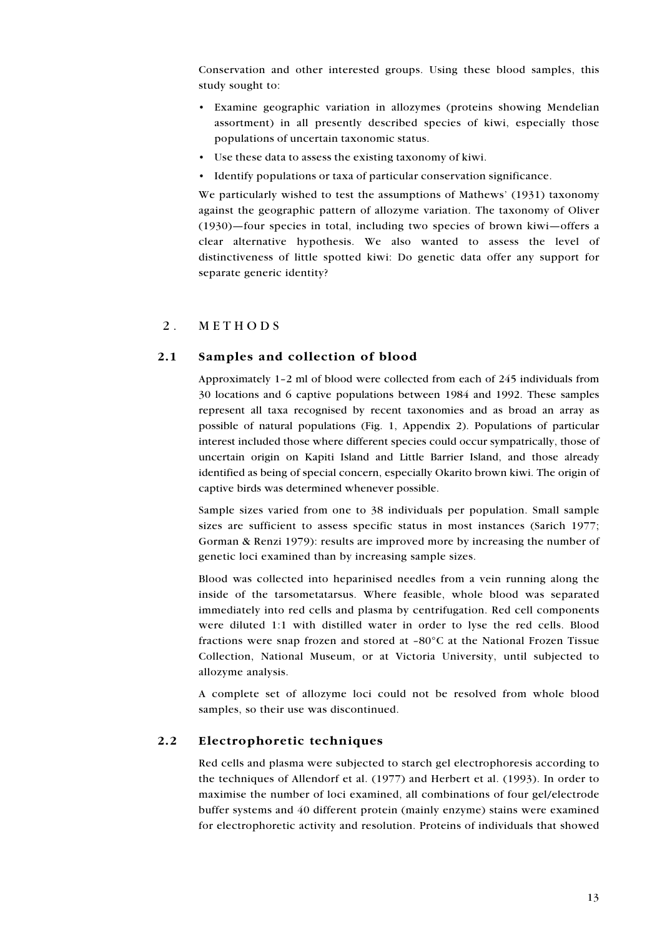Conservation and other interested groups. Using these blood samples, this study sought to:

- Examine geographic variation in allozymes (proteins showing Mendelian assortment) in all presently described species of kiwi, especially those populations of uncertain taxonomic status.
- Use these data to assess the existing taxonomy of kiwi.
- Identify populations or taxa of particular conservation significance.

We particularly wished to test the assumptions of Mathews' (1931) taxonomy against the geographic pattern of allozyme variation. The taxonomy of Oliver (1930)—four species in total, including two species of brown kiwi—offers a clear alternative hypothesis. We also wanted to assess the level of distinctiveness of little spotted kiwi: Do genetic data offer any support for separate generic identity?

#### 2. METHODS

#### 2.1 Samples and collection of blood

Approximately 1–2 ml of blood were collected from each of 245 individuals from 30 locations and 6 captive populations between 1984 and 1992. These samples represent all taxa recognised by recent taxonomies and as broad an array as possible of natural populations (Fig. 1, Appendix 2). Populations of particular interest included those where different species could occur sympatrically, those of uncertain origin on Kapiti Island and Little Barrier Island, and those already identified as being of special concern, especially Okarito brown kiwi. The origin of captive birds was determined whenever possible.

Sample sizes varied from one to 38 individuals per population. Small sample sizes are sufficient to assess specific status in most instances (Sarich 1977; Gorman & Renzi 1979): results are improved more by increasing the number of genetic loci examined than by increasing sample sizes.

Blood was collected into heparinised needles from a vein running along the inside of the tarsometatarsus. Where feasible, whole blood was separated immediately into red cells and plasma by centrifugation. Red cell components were diluted 1:1 with distilled water in order to lyse the red cells. Blood fractions were snap frozen and stored at –80°C at the National Frozen Tissue Collection, National Museum, or at Victoria University, until subjected to allozyme analysis.

A complete set of allozyme loci could not be resolved from whole blood samples, so their use was discontinued.

#### 2.2 Electrophoretic techniques

Red cells and plasma were subjected to starch gel electrophoresis according to the techniques of Allendorf et al. (1977) and Herbert et al. (1993). In order to maximise the number of loci examined, all combinations of four gel/electrode buffer systems and 40 different protein (mainly enzyme) stains were examined for electrophoretic activity and resolution. Proteins of individuals that showed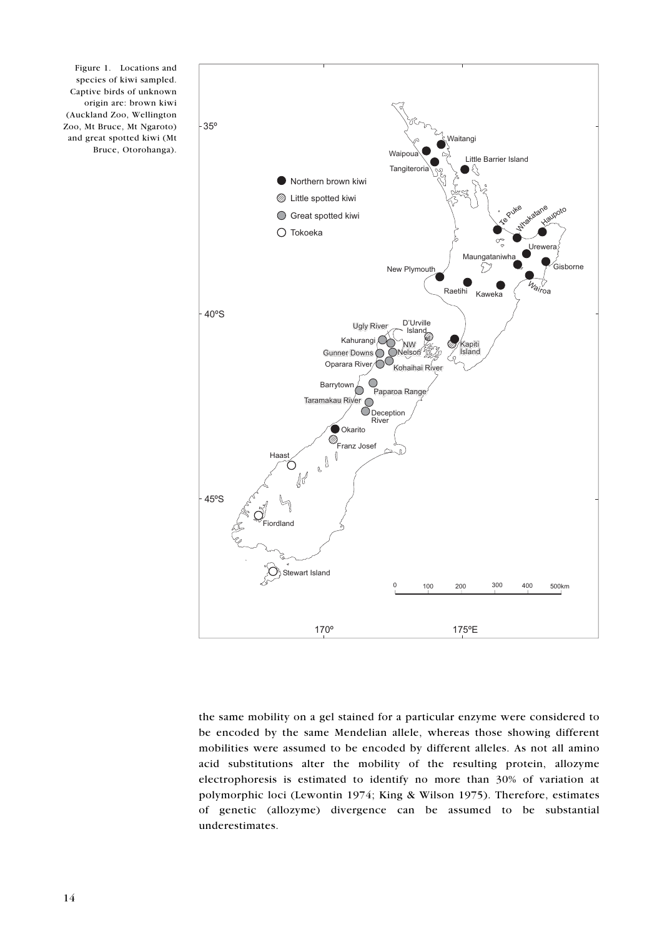



the same mobility on a gel stained for a particular enzyme were considered to be encoded by the same Mendelian allele, whereas those showing different mobilities were assumed to be encoded by different alleles. As not all amino acid substitutions alter the mobility of the resulting protein, allozyme electrophoresis is estimated to identify no more than 30% of variation at polymorphic loci (Lewontin 1974; King & Wilson 1975). Therefore, estimates of genetic (allozyme) divergence can be assumed to be substantial underestimates.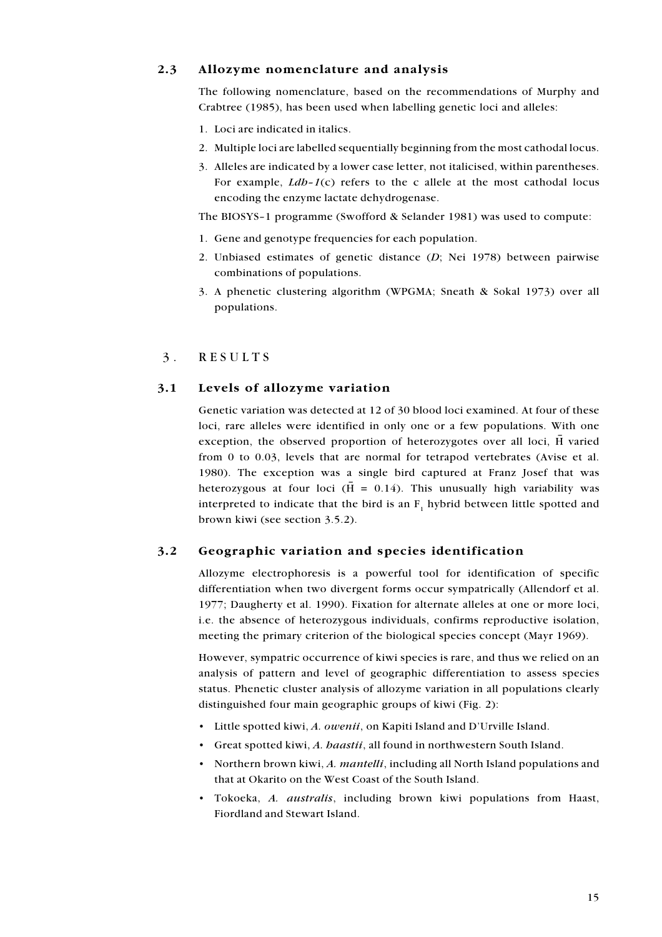# 2.3 Allozyme nomenclature and analysis

The following nomenclature, based on the recommendations of Murphy and Crabtree (1985), has been used when labelling genetic loci and alleles:

- 1. Loci are indicated in italics.
- 2. Multiple loci are labelled sequentially beginning from the most cathodal locus.
- 3. Alleles are indicated by a lower case letter, not italicised, within parentheses. For example,  $Ldb-1(c)$  refers to the c allele at the most cathodal locus encoding the enzyme lactate dehydrogenase.

The BIOSYS–1 programme (Swofford & Selander 1981) was used to compute:

- 1. Gene and genotype frequencies for each population.
- 2. Unbiased estimates of genetic distance  $(D;$  Nei 1978) between pairwise combinations of populations.
- 3. A phenetic clustering algorithm (WPGMA; Sneath & Sokal 1973) over all populations.

# 3. RESULTS

# 3.1 Levels of allozyme variation

Genetic variation was detected at 12 of 30 blood loci examined. At four of these loci, rare alleles were identified in only one or a few populations. With one exception, the observed proportion of heterozygotes over all loci,  $\overline{H}$  varied from 0 to 0.03, levels that are normal for tetrapod vertebrates (Avise et al. 1980). The exception was a single bird captured at Franz Josef that was heterozygous at four loci ( $\bar{H} = 0.14$ ). This unusually high variability was interpreted to indicate that the bird is an  $F_1$  hybrid between little spotted and brown kiwi (see section 3.5.2).

# 3.2 Geographic variation and species identification

Allozyme electrophoresis is a powerful tool for identification of specific differentiation when two divergent forms occur sympatrically (Allendorf et al. 1977; Daugherty et al. 1990). Fixation for alternate alleles at one or more loci, i.e. the absence of heterozygous individuals, confirms reproductive isolation, meeting the primary criterion of the biological species concept (Mayr 1969).

However, sympatric occurrence of kiwi species is rare, and thus we relied on an analysis of pattern and level of geographic differentiation to assess species status. Phenetic cluster analysis of allozyme variation in all populations clearly distinguished four main geographic groups of kiwi (Fig. 2):

- Little spotted kiwi, A. owenii, on Kapiti Island and D'Urville Island.
- Great spotted kiwi, A. haastii, all found in northwestern South Island.
- Northern brown kiwi, A. *mantelli*, including all North Island populations and that at Okarito on the West Coast of the South Island.
- Tokoeka, A. australis, including brown kiwi populations from Haast, Fiordland and Stewart Island.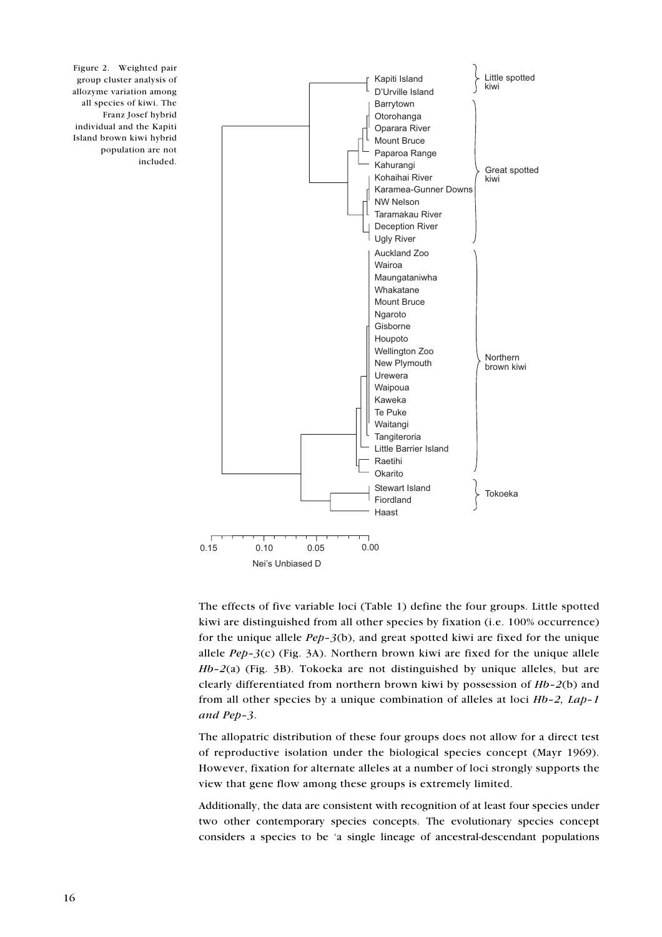

Figure 2. Weighted pair group cluster analysis of allozyme variation among all species of kiwi. The Franz Josef hybrid individual and the Kapiti Island brown kiwi hybrid population are not included.

> The effects of five variable loci (Table 1) define the four groups. Little spotted kiwi are distinguished from all other species by fixation (i.e. 100% occurrence) for the unique allele  $Pep-3(b)$ , and great spotted kiwi are fixed for the unique allele  $Pep-3(c)$  (Fig. 3A). Northern brown kiwi are fixed for the unique allele  $Hb-2(a)$  (Fig. 3B). Tokoeka are not distinguished by unique alleles, but are clearly differentiated from northern brown kiwi by possession of  $Hb-2(b)$  and from all other species by a unique combination of alleles at loci Hb–2, Lap–1 and Pep–3.

> The allopatric distribution of these four groups does not allow for a direct test of reproductive isolation under the biological species concept (Mayr 1969). However, fixation for alternate alleles at a number of loci strongly supports the view that gene flow among these groups is extremely limited.

> Additionally, the data are consistent with recognition of at least four species under two other contemporary species concepts. The evolutionary species concept considers a species to be 'a single lineage of ancestral-descendant populations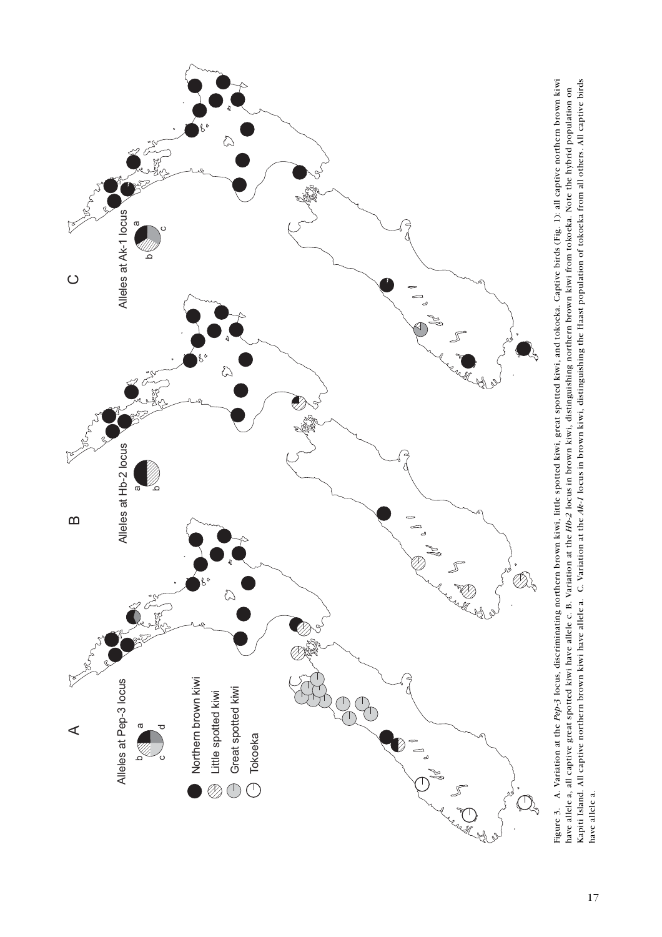

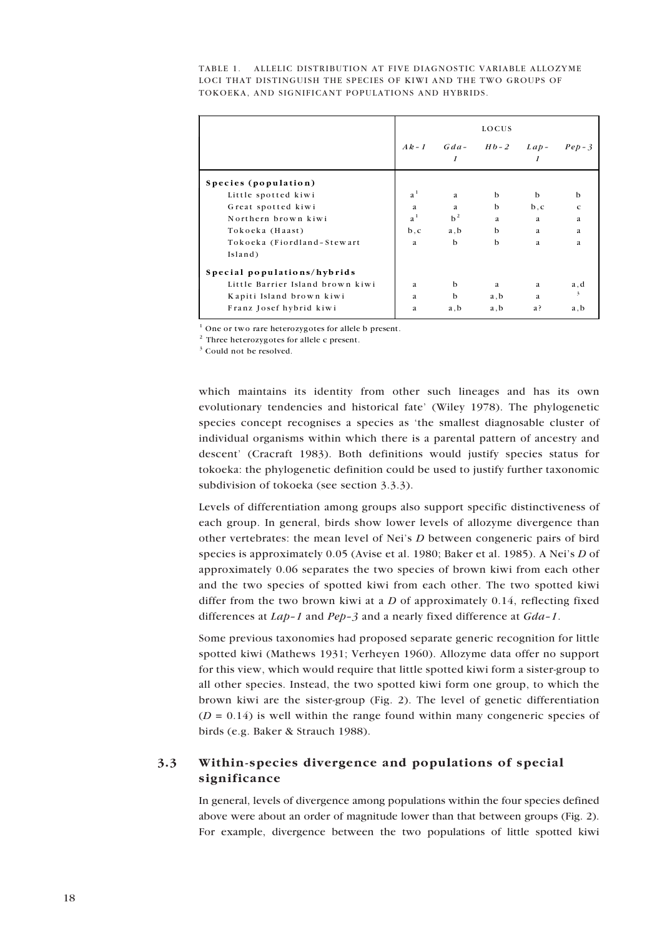TABLE 1. ALLELIC DISTRIBUTION AT FIVE DIAGNOSTIC VARIABLE ALLOZYME LOCI THAT DISTINGUISH THE SPECIES OF KIWI AND THE TWO GROUPS OF TOKOEKA, AND SIGNIFICANT POPULATIONS AND HYBRIDS.

|                                  | LOCUS          |                               |      |      |                         |
|----------------------------------|----------------|-------------------------------|------|------|-------------------------|
|                                  |                | $Ak-1$ $Gda Hb-2$ $Lap-$<br>1 |      |      | $PeD-3$                 |
| Species (population)             |                |                               |      |      |                         |
| Little spotted kiwi              | a <sup>1</sup> | a                             | b    | b    | b                       |
| Great spotted kiwi               | a              | a                             | b    | b, c | $\mathbf{C}$            |
| Northern brown kiwi              | a <sup>1</sup> | $b^2$                         | a    | a    | a                       |
| Tokoeka (Haast)                  | b, c           | a, b                          | b    | a    | a                       |
| Tokoeka (Fiordland-Stewart       | a              | $\mathbf b$                   | b    | a    | a                       |
| Island)                          |                |                               |      |      |                         |
| Special populations/hybrids      |                |                               |      |      |                         |
| Little Barrier Island brown kiwi | a              | b                             | a    | a    | a, d                    |
| Kapiti Island brown kiwi         | a              | b                             | a, b | a    | $\overline{\mathbf{3}}$ |
| Franz Josef hybrid kiwi          | a              | a, b                          | a, b | a?   | a, b                    |

 $1$  One or two rare heterozygotes for allele b present.

<sup>2</sup> Three heterozygotes for allele c present.

<sup>3</sup> Could not be resolved.

which maintains its identity from other such lineages and has its own evolutionary tendencies and historical fate' (Wiley 1978). The phylogenetic species concept recognises a species as 'the smallest diagnosable cluster of individual organisms within which there is a parental pattern of ancestry and descent' (Cracraft 1983). Both definitions would justify species status for tokoeka: the phylogenetic definition could be used to justify further taxonomic subdivision of tokoeka (see section 3.3.3).

Levels of differentiation among groups also support specific distinctiveness of each group. In general, birds show lower levels of allozyme divergence than other vertebrates: the mean level of Nei's *D* between congeneric pairs of bird species is approximately 0.05 (Avise et al. 1980; Baker et al. 1985). A Neiís *D* of approximately 0.06 separates the two species of brown kiwi from each other and the two species of spotted kiwi from each other. The two spotted kiwi differ from the two brown kiwi at a *D* of approximately 0.14, reflecting fixed differences at *Lap-1* and *Pep-3* and a nearly fixed difference at *Gda-1*.

Some previous taxonomies had proposed separate generic recognition for little spotted kiwi (Mathews 1931; Verheyen 1960). Allozyme data offer no support for this view, which would require that little spotted kiwi form a sister-group to all other species. Instead, the two spotted kiwi form one group, to which the brown kiwi are the sister-group (Fig. 2). The level of genetic differentiation  $(D = 0.14)$  is well within the range found within many congeneric species of birds (e.g. Baker & Strauch 1988).

# **3.3 Within-species divergence and populations of special significance**

In general, levels of divergence among populations within the four species defined above were about an order of magnitude lower than that between groups (Fig. 2). For example, divergence between the two populations of little spotted kiwi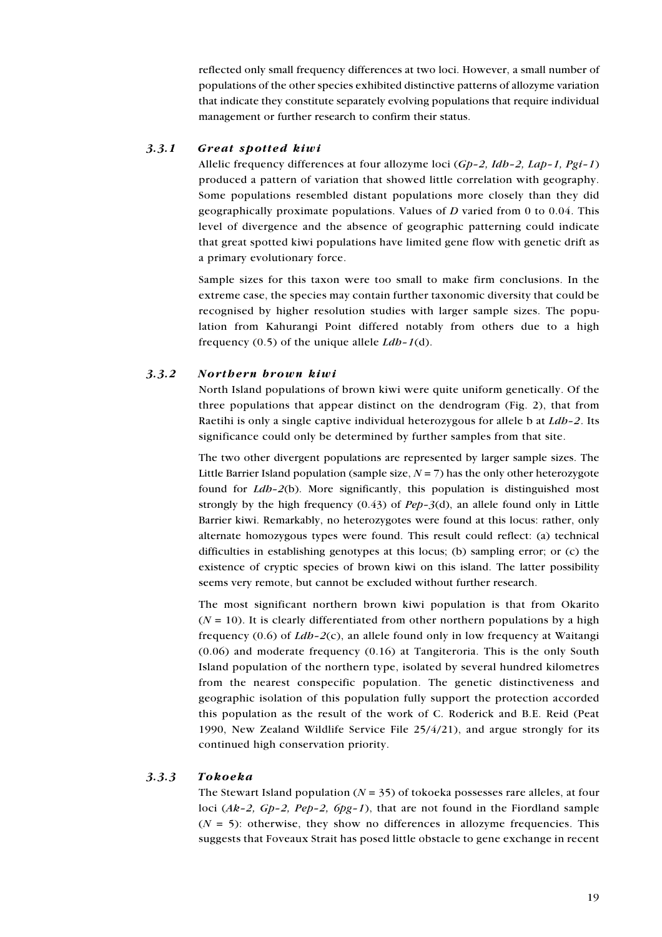reflected only small frequency differences at two loci. However, a small number of populations of the other species exhibited distinctive patterns of allozyme variation that indicate they constitute separately evolving populations that require individual management or further research to confirm their status.

#### 3.3.1 Great spotted kiwi

Allelic frequency differences at four allozyme loci  $(Gp-2, Idp-2, Lap-1, Pgi-1)$ produced a pattern of variation that showed little correlation with geography. Some populations resembled distant populations more closely than they did geographically proximate populations. Values of D varied from 0 to 0.04. This level of divergence and the absence of geographic patterning could indicate that great spotted kiwi populations have limited gene flow with genetic drift as a primary evolutionary force.

Sample sizes for this taxon were too small to make firm conclusions. In the extreme case, the species may contain further taxonomic diversity that could be recognised by higher resolution studies with larger sample sizes. The population from Kahurangi Point differed notably from others due to a high frequency (0.5) of the unique allele  $Ldb-1$ (d).

#### 3.3.2 Northern brown kiwi

North Island populations of brown kiwi were quite uniform genetically. Of the three populations that appear distinct on the dendrogram (Fig. 2), that from Raetihi is only a single captive individual heterozygous for allele b at  $Ldb-2$ . Its significance could only be determined by further samples from that site.

The two other divergent populations are represented by larger sample sizes. The Little Barrier Island population (sample size,  $N = 7$ ) has the only other heterozygote found for *Ldb*-2(b). More significantly, this population is distinguished most strongly by the high frequency  $(0.43)$  of Pep-3(d), an allele found only in Little Barrier kiwi. Remarkably, no heterozygotes were found at this locus: rather, only alternate homozygous types were found. This result could reflect: (a) technical difficulties in establishing genotypes at this locus; (b) sampling error; or (c) the existence of cryptic species of brown kiwi on this island. The latter possibility seems very remote, but cannot be excluded without further research.

The most significant northern brown kiwi population is that from Okarito  $(N = 10)$ . It is clearly differentiated from other northern populations by a high frequency (0.6) of  $Ldb-2(c)$ , an allele found only in low frequency at Waitangi (0.06) and moderate frequency (0.16) at Tangiteroria. This is the only South Island population of the northern type, isolated by several hundred kilometres from the nearest conspecific population. The genetic distinctiveness and geographic isolation of this population fully support the protection accorded this population as the result of the work of C. Roderick and B.E. Reid (Peat 1990, New Zealand Wildlife Service File 25/4/21), and argue strongly for its continued high conservation priority.

#### 3.3.3 Tokoeka

The Stewart Island population ( $N = 35$ ) of tokoeka possesses rare alleles, at four loci  $(Ak-2, Gp-2, Pep-2, Gpg-1)$ , that are not found in the Fiordland sample  $(N = 5)$ : otherwise, they show no differences in allozyme frequencies. This suggests that Foveaux Strait has posed little obstacle to gene exchange in recent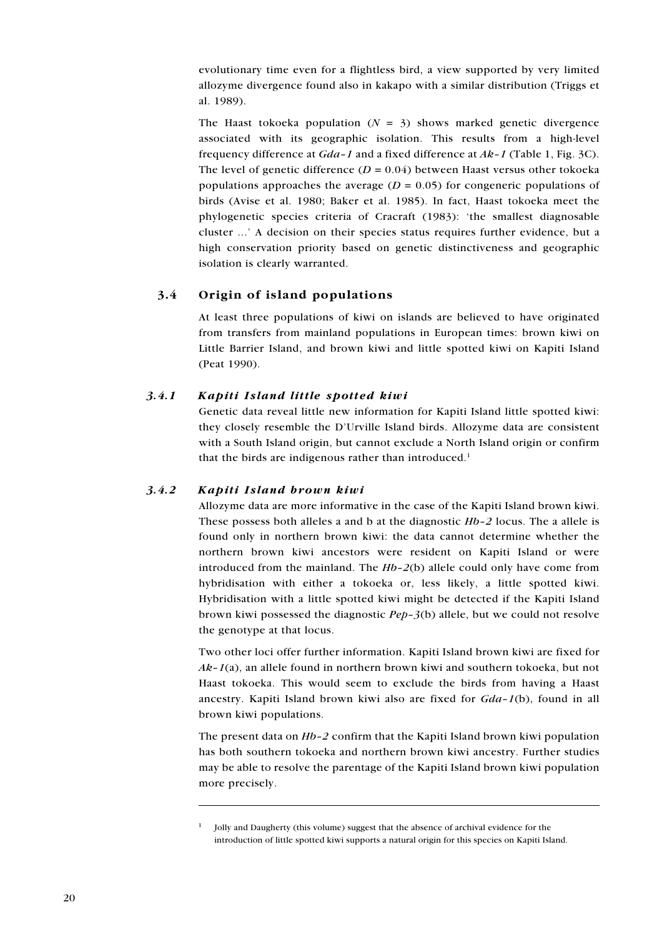evolutionary time even for a flightless bird, a view supported by very limited allozyme divergence found also in kakapo with a similar distribution (Triggs et al. 1989).

The Haast tokoeka population  $(N = 3)$  shows marked genetic divergence associated with its geographic isolation. This results from a high-level frequency difference at  $Gda-1$  and a fixed difference at  $Ak-1$  (Table 1, Fig. 3C). The level of genetic difference  $(D = 0.04)$  between Haast versus other tokoeka populations approaches the average ( $D = 0.05$ ) for congeneric populations of birds (Avise et al. 1980; Baker et al. 1985). In fact, Haast tokoeka meet the phylogenetic species criteria of Cracraft (1983): 'the smallest diagnosable cluster ...' A decision on their species status requires further evidence, but a high conservation priority based on genetic distinctiveness and geographic isolation is clearly warranted.

# 3.4 Origin of island populations

At least three populations of kiwi on islands are believed to have originated from transfers from mainland populations in European times: brown kiwi on Little Barrier Island, and brown kiwi and little spotted kiwi on Kapiti Island (Peat 1990).

#### 3.4.1 Kapiti Island little spotted kiwi

Genetic data reveal little new information for Kapiti Island little spotted kiwi: they closely resemble the D'Urville Island birds. Allozyme data are consistent with a South Island origin, but cannot exclude a North Island origin or confirm that the birds are indigenous rather than introduced.<sup>1</sup>

#### 3.4.2 Kapiti Island brown kiwi

Allozyme data are more informative in the case of the Kapiti Island brown kiwi. These possess both alleles a and b at the diagnostic  $Hb-2$  locus. The a allele is found only in northern brown kiwi: the data cannot determine whether the northern brown kiwi ancestors were resident on Kapiti Island or were introduced from the mainland. The  $Hb-2(b)$  allele could only have come from hybridisation with either a tokoeka or, less likely, a little spotted kiwi. Hybridisation with a little spotted kiwi might be detected if the Kapiti Island brown kiwi possessed the diagnostic  $Pep-3(b)$  allele, but we could not resolve the genotype at that locus.

Two other loci offer further information. Kapiti Island brown kiwi are fixed for  $Ak-I(a)$ , an allele found in northern brown kiwi and southern tokoeka, but not Haast tokoeka. This would seem to exclude the birds from having a Haast ancestry. Kapiti Island brown kiwi also are fixed for  $Gda-1(b)$ , found in all brown kiwi populations.

The present data on Hb–2 confirm that the Kapiti Island brown kiwi population has both southern tokoeka and northern brown kiwi ancestry. Further studies may be able to resolve the parentage of the Kapiti Island brown kiwi population more precisely.

<sup>&</sup>lt;sup>1</sup> Jolly and Daugherty (this volume) suggest that the absence of archival evidence for the introduction of little spotted kiwi supports a natural origin for this species on Kapiti Island.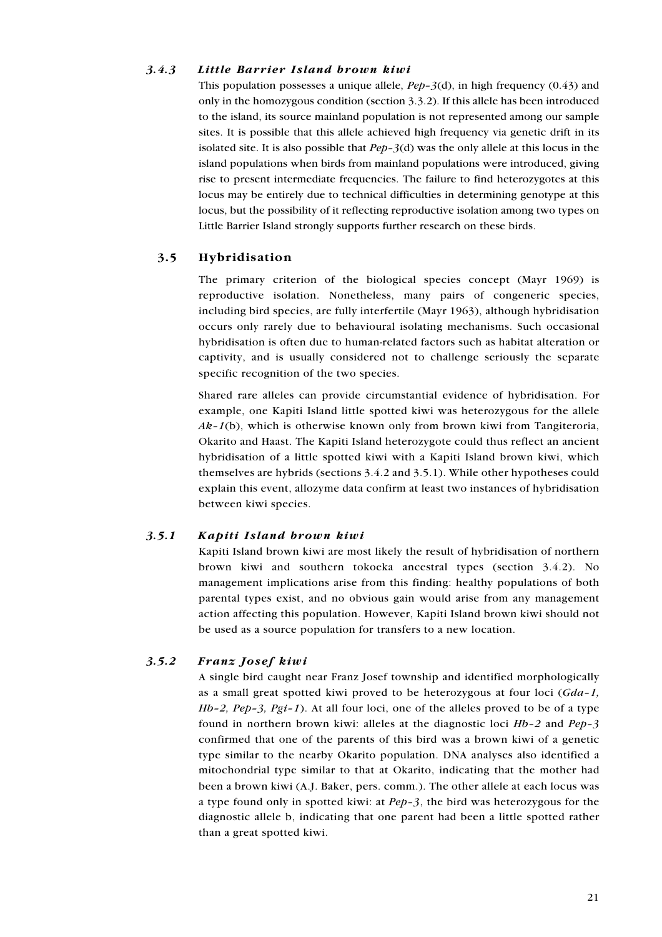#### 3.4.3 Little Barrier Island brown kiwi

This population possesses a unique allele,  $Pep-3(d)$ , in high frequency (0.43) and only in the homozygous condition (section 3.3.2). If this allele has been introduced to the island, its source mainland population is not represented among our sample sites. It is possible that this allele achieved high frequency via genetic drift in its isolated site. It is also possible that  $Pep-3(d)$  was the only allele at this locus in the island populations when birds from mainland populations were introduced, giving rise to present intermediate frequencies. The failure to find heterozygotes at this locus may be entirely due to technical difficulties in determining genotype at this locus, but the possibility of it reflecting reproductive isolation among two types on Little Barrier Island strongly supports further research on these birds.

#### 3.5 Hybridisation

The primary criterion of the biological species concept (Mayr 1969) is reproductive isolation. Nonetheless, many pairs of congeneric species, including bird species, are fully interfertile (Mayr 1963), although hybridisation occurs only rarely due to behavioural isolating mechanisms. Such occasional hybridisation is often due to human-related factors such as habitat alteration or captivity, and is usually considered not to challenge seriously the separate specific recognition of the two species.

Shared rare alleles can provide circumstantial evidence of hybridisation. For example, one Kapiti Island little spotted kiwi was heterozygous for the allele  $Ak-1(b)$ , which is otherwise known only from brown kiwi from Tangiteroria, Okarito and Haast. The Kapiti Island heterozygote could thus reflect an ancient hybridisation of a little spotted kiwi with a Kapiti Island brown kiwi, which themselves are hybrids (sections 3.4.2 and 3.5.1). While other hypotheses could explain this event, allozyme data confirm at least two instances of hybridisation between kiwi species.

#### 3.5.1 Kapiti Island brown kiwi

Kapiti Island brown kiwi are most likely the result of hybridisation of northern brown kiwi and southern tokoeka ancestral types (section 3.4.2). No management implications arise from this finding: healthy populations of both parental types exist, and no obvious gain would arise from any management action affecting this population. However, Kapiti Island brown kiwi should not be used as a source population for transfers to a new location.

# 3.5.2 Franz Josef kiwi

A single bird caught near Franz Josef township and identified morphologically as a small great spotted kiwi proved to be heterozygous at four loci  $(Gda-1)$ ,  $Hb-2$ ,  $Pep-3$ ,  $Pgi-1$ ). At all four loci, one of the alleles proved to be of a type found in northern brown kiwi: alleles at the diagnostic loci Hb-2 and Pep-3 confirmed that one of the parents of this bird was a brown kiwi of a genetic type similar to the nearby Okarito population. DNA analyses also identified a mitochondrial type similar to that at Okarito, indicating that the mother had been a brown kiwi (A.J. Baker, pers. comm.). The other allele at each locus was a type found only in spotted kiwi: at Pep–3, the bird was heterozygous for the diagnostic allele b, indicating that one parent had been a little spotted rather than a great spotted kiwi.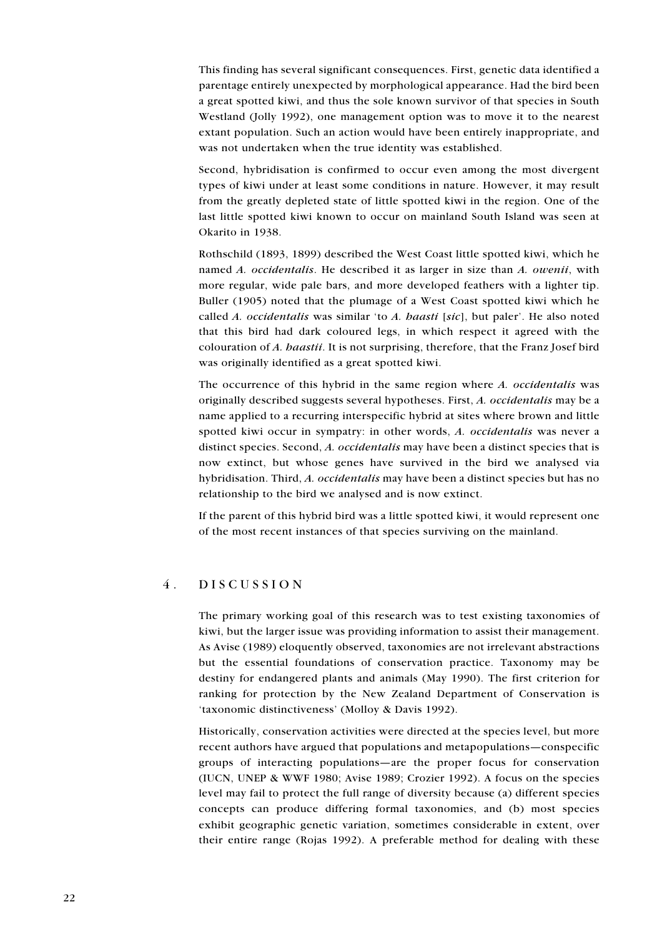This finding has several significant consequences. First, genetic data identified a parentage entirely unexpected by morphological appearance. Had the bird been a great spotted kiwi, and thus the sole known survivor of that species in South Westland (Jolly 1992), one management option was to move it to the nearest extant population. Such an action would have been entirely inappropriate, and was not undertaken when the true identity was established.

Second, hybridisation is confirmed to occur even among the most divergent types of kiwi under at least some conditions in nature. However, it may result from the greatly depleted state of little spotted kiwi in the region. One of the last little spotted kiwi known to occur on mainland South Island was seen at Okarito in 1938.

Rothschild (1893, 1899) described the West Coast little spotted kiwi, which he named A. occidentalis. He described it as larger in size than A. owenii, with more regular, wide pale bars, and more developed feathers with a lighter tip. Buller (1905) noted that the plumage of a West Coast spotted kiwi which he called A. occidentalis was similar 'to A. haasti [sic], but paler'. He also noted that this bird had dark coloured legs, in which respect it agreed with the colouration of A. haastii. It is not surprising, therefore, that the Franz Josef bird was originally identified as a great spotted kiwi.

The occurrence of this hybrid in the same region where A. occidentalis was originally described suggests several hypotheses. First, A. occidentalis may be a name applied to a recurring interspecific hybrid at sites where brown and little spotted kiwi occur in sympatry: in other words, A. occidentalis was never a distinct species. Second, A. *occidentalis* may have been a distinct species that is now extinct, but whose genes have survived in the bird we analysed via hybridisation. Third, A. occidentalis may have been a distinct species but has no relationship to the bird we analysed and is now extinct.

If the parent of this hybrid bird was a little spotted kiwi, it would represent one of the most recent instances of that species surviving on the mainland.

#### 4. DISCUSSION

The primary working goal of this research was to test existing taxonomies of kiwi, but the larger issue was providing information to assist their management. As Avise (1989) eloquently observed, taxonomies are not irrelevant abstractions but the essential foundations of conservation practice. Taxonomy may be destiny for endangered plants and animals (May 1990). The first criterion for ranking for protection by the New Zealand Department of Conservation is 'taxonomic distinctiveness' (Molloy & Davis 1992).

Historically, conservation activities were directed at the species level, but more recent authors have argued that populations and metapopulations—conspecific groups of interacting populations—are the proper focus for conservation (IUCN, UNEP & WWF 1980; Avise 1989; Crozier 1992). A focus on the species level may fail to protect the full range of diversity because (a) different species concepts can produce differing formal taxonomies, and (b) most species exhibit geographic genetic variation, sometimes considerable in extent, over their entire range (Rojas 1992). A preferable method for dealing with these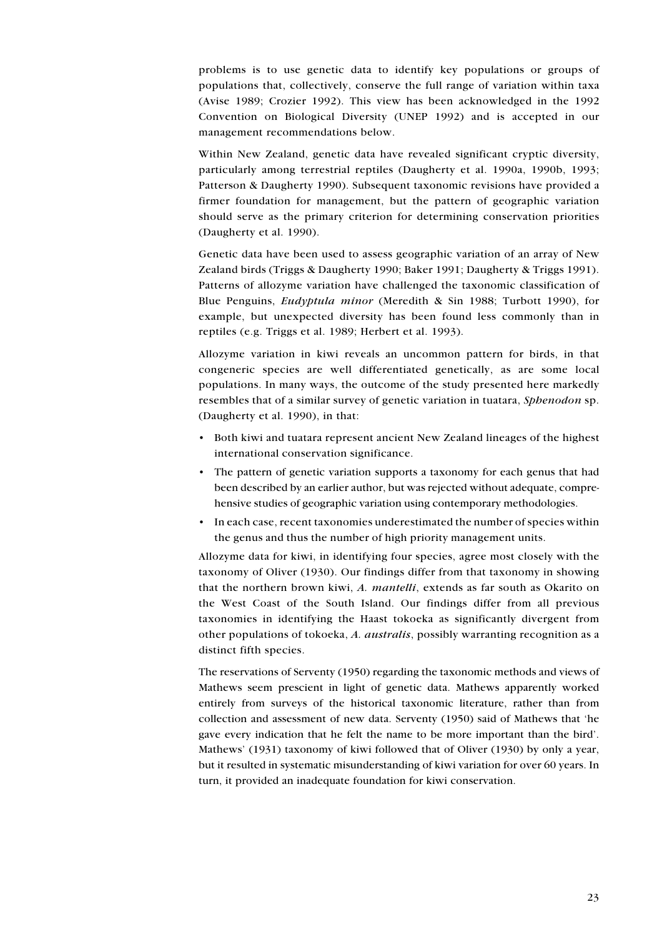problems is to use genetic data to identify key populations or groups of populations that, collectively, conserve the full range of variation within taxa (Avise 1989; Crozier 1992). This view has been acknowledged in the 1992 Convention on Biological Diversity (UNEP 1992) and is accepted in our management recommendations below.

Within New Zealand, genetic data have revealed significant cryptic diversity, particularly among terrestrial reptiles (Daugherty et al. 1990a, 1990b, 1993; Patterson & Daugherty 1990). Subsequent taxonomic revisions have provided a firmer foundation for management, but the pattern of geographic variation should serve as the primary criterion for determining conservation priorities (Daugherty et al. 1990).

Genetic data have been used to assess geographic variation of an array of New Zealand birds (Triggs & Daugherty 1990; Baker 1991; Daugherty & Triggs 1991). Patterns of allozyme variation have challenged the taxonomic classification of Blue Penguins, Eudyptula minor (Meredith & Sin 1988; Turbott 1990), for example, but unexpected diversity has been found less commonly than in reptiles (e.g. Triggs et al. 1989; Herbert et al. 1993).

Allozyme variation in kiwi reveals an uncommon pattern for birds, in that congeneric species are well differentiated genetically, as are some local populations. In many ways, the outcome of the study presented here markedly resembles that of a similar survey of genetic variation in tuatara, Sphenodon sp. (Daugherty et al. 1990), in that:

- Both kiwi and tuatara represent ancient New Zealand lineages of the highest international conservation significance.
- The pattern of genetic variation supports a taxonomy for each genus that had been described by an earlier author, but was rejected without adequate, comprehensive studies of geographic variation using contemporary methodologies.
- In each case, recent taxonomies underestimated the number of species within the genus and thus the number of high priority management units.

Allozyme data for kiwi, in identifying four species, agree most closely with the taxonomy of Oliver (1930). Our findings differ from that taxonomy in showing that the northern brown kiwi, A. mantelli, extends as far south as Okarito on the West Coast of the South Island. Our findings differ from all previous taxonomies in identifying the Haast tokoeka as significantly divergent from other populations of tokoeka, A. australis, possibly warranting recognition as a distinct fifth species.

The reservations of Serventy (1950) regarding the taxonomic methods and views of Mathews seem prescient in light of genetic data. Mathews apparently worked entirely from surveys of the historical taxonomic literature, rather than from collection and assessment of new data. Serventy (1950) said of Mathews that 'he gave every indication that he felt the name to be more important than the bird'. Mathews' (1931) taxonomy of kiwi followed that of Oliver (1930) by only a year, but it resulted in systematic misunderstanding of kiwi variation for over 60 years. In turn, it provided an inadequate foundation for kiwi conservation.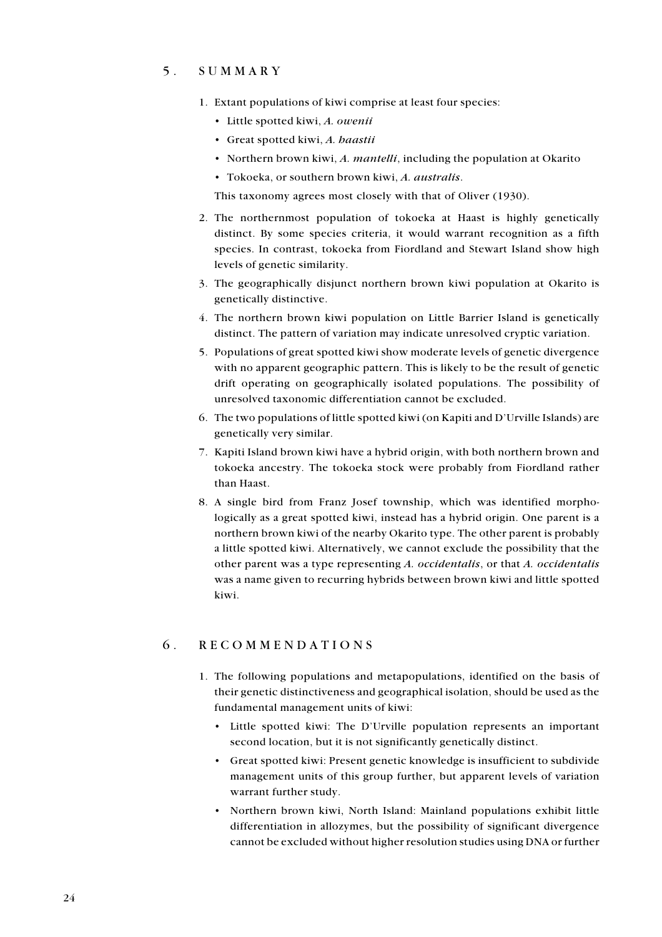## 5. SUMMARY

- 1. Extant populations of kiwi comprise at least four species:
	- Little spotted kiwi, A. owenii
	- Great spotted kiwi, A. haastii
	- Northern brown kiwi, A. mantelli, including the population at Okarito
	- Tokoeka, or southern brown kiwi, A. australis.

This taxonomy agrees most closely with that of Oliver (1930).

- 2. The northernmost population of tokoeka at Haast is highly genetically distinct. By some species criteria, it would warrant recognition as a fifth species. In contrast, tokoeka from Fiordland and Stewart Island show high levels of genetic similarity.
- 3. The geographically disjunct northern brown kiwi population at Okarito is genetically distinctive.
- 4. The northern brown kiwi population on Little Barrier Island is genetically distinct. The pattern of variation may indicate unresolved cryptic variation.
- 5. Populations of great spotted kiwi show moderate levels of genetic divergence with no apparent geographic pattern. This is likely to be the result of genetic drift operating on geographically isolated populations. The possibility of unresolved taxonomic differentiation cannot be excluded.
- 6. The two populations of little spotted kiwi (on Kapiti and D'Urville Islands) are genetically very similar.
- 7. Kapiti Island brown kiwi have a hybrid origin, with both northern brown and tokoeka ancestry. The tokoeka stock were probably from Fiordland rather than Haast.
- 8. A single bird from Franz Josef township, which was identified morphologically as a great spotted kiwi, instead has a hybrid origin. One parent is a northern brown kiwi of the nearby Okarito type. The other parent is probably a little spotted kiwi. Alternatively, we cannot exclude the possibility that the other parent was a type representing A. occidentalis, or that A. occidentalis was a name given to recurring hybrids between brown kiwi and little spotted kiwi.

#### 6. RECOMMENDATIONS

- 1. The following populations and metapopulations, identified on the basis of their genetic distinctiveness and geographical isolation, should be used as the fundamental management units of kiwi:
	- Little spotted kiwi: The D'Urville population represents an important second location, but it is not significantly genetically distinct.
	- Great spotted kiwi: Present genetic knowledge is insufficient to subdivide management units of this group further, but apparent levels of variation warrant further study.
	- Northern brown kiwi, North Island: Mainland populations exhibit little differentiation in allozymes, but the possibility of significant divergence cannot be excluded without higher resolution studies using DNA or further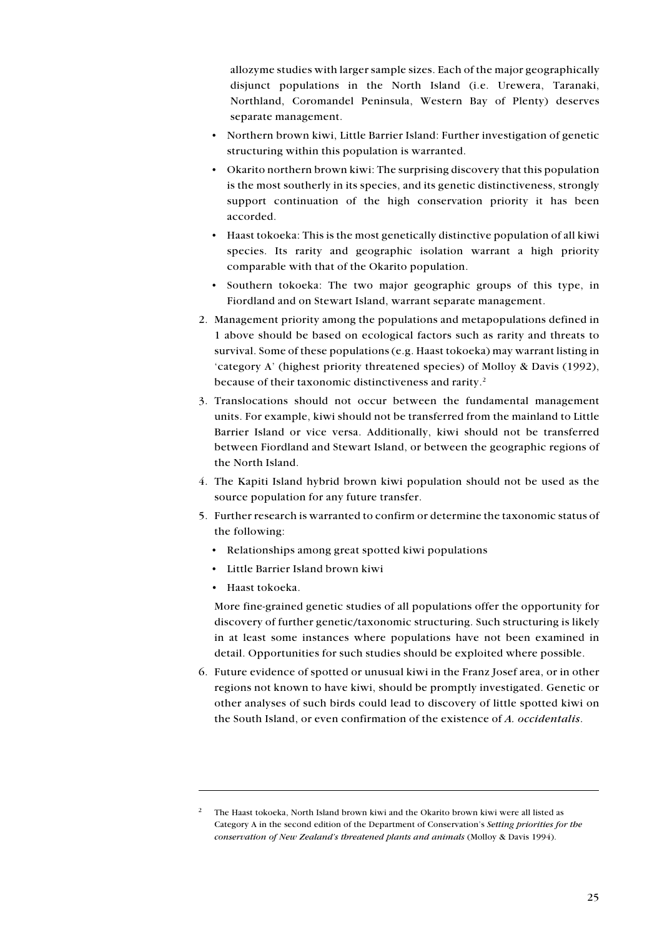allozyme studies with larger sample sizes. Each of the major geographically disjunct populations in the North Island (i.e. Urewera, Taranaki, Northland, Coromandel Peninsula, Western Bay of Plenty) deserves separate management.

- Northern brown kiwi, Little Barrier Island: Further investigation of genetic structuring within this population is warranted.
- Okarito northern brown kiwi: The surprising discovery that this population is the most southerly in its species, and its genetic distinctiveness, strongly support continuation of the high conservation priority it has been accorded.
- Haast tokoeka: This is the most genetically distinctive population of all kiwi species. Its rarity and geographic isolation warrant a high priority comparable with that of the Okarito population.
- Southern tokoeka: The two major geographic groups of this type, in Fiordland and on Stewart Island, warrant separate management.
- 2. Management priority among the populations and metapopulations defined in 1 above should be based on ecological factors such as rarity and threats to survival. Some of these populations (e.g. Haast tokoeka) may warrant listing in 'category A' (highest priority threatened species) of Molloy & Davis (1992), because of their taxonomic distinctiveness and rarity.<sup>2</sup>
- 3. Translocations should not occur between the fundamental management units. For example, kiwi should not be transferred from the mainland to Little Barrier Island or vice versa. Additionally, kiwi should not be transferred between Fiordland and Stewart Island, or between the geographic regions of the North Island.
- 4. The Kapiti Island hybrid brown kiwi population should not be used as the source population for any future transfer.
- 5. Further research is warranted to confirm or determine the taxonomic status of the following:
	- Relationships among great spotted kiwi populations
	- Little Barrier Island brown kiwi
	- Haast tokoeka.

More fine-grained genetic studies of all populations offer the opportunity for discovery of further genetic/taxonomic structuring. Such structuring is likely in at least some instances where populations have not been examined in detail. Opportunities for such studies should be exploited where possible.

6. Future evidence of spotted or unusual kiwi in the Franz Josef area, or in other regions not known to have kiwi, should be promptly investigated. Genetic or other analyses of such birds could lead to discovery of little spotted kiwi on the South Island, or even confirmation of the existence of A. occidentalis.

<sup>&</sup>lt;sup>2</sup> The Haast tokoeka, North Island brown kiwi and the Okarito brown kiwi were all listed as Category A in the second edition of the Department of Conservation's Setting priorities for the conservation of New Zealand's threatened plants and animals (Molloy & Davis 1994).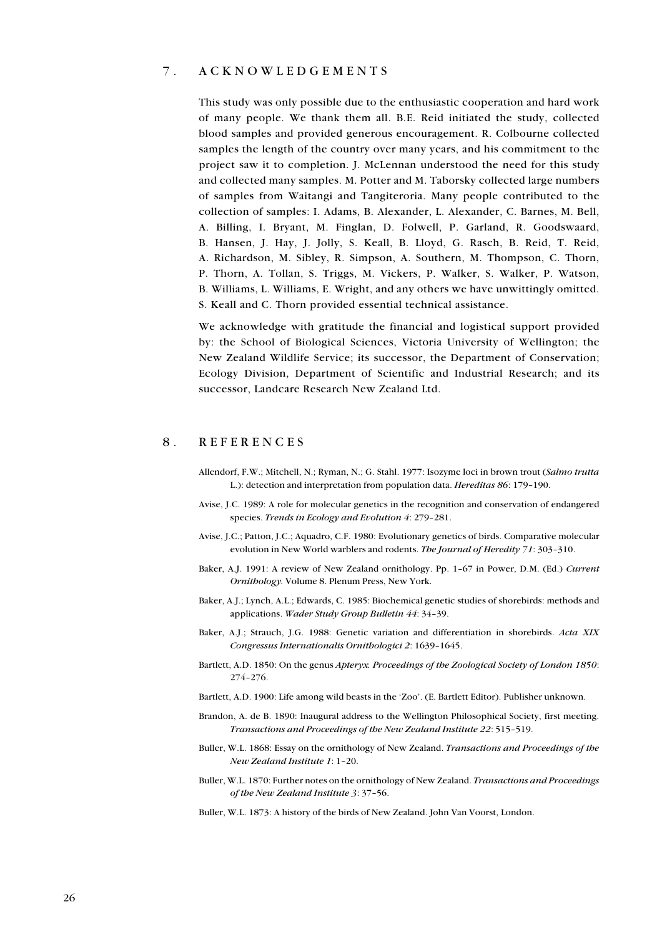#### 7. ACKNOWLEDGEMENTS

This study was only possible due to the enthusiastic cooperation and hard work of many people. We thank them all. B.E. Reid initiated the study, collected blood samples and provided generous encouragement. R. Colbourne collected samples the length of the country over many years, and his commitment to the project saw it to completion. J. McLennan understood the need for this study and collected many samples. M. Potter and M. Taborsky collected large numbers of samples from Waitangi and Tangiteroria. Many people contributed to the collection of samples: I. Adams, B. Alexander, L. Alexander, C. Barnes, M. Bell, A. Billing, I. Bryant, M. Finglan, D. Folwell, P. Garland, R. Goodswaard, B. Hansen, J. Hay, J. Jolly, S. Keall, B. Lloyd, G. Rasch, B. Reid, T. Reid, A. Richardson, M. Sibley, R. Simpson, A. Southern, M. Thompson, C. Thorn, P. Thorn, A. Tollan, S. Triggs, M. Vickers, P. Walker, S. Walker, P. Watson, B. Williams, L. Williams, E. Wright, and any others we have unwittingly omitted. S. Keall and C. Thorn provided essential technical assistance.

We acknowledge with gratitude the financial and logistical support provided by: the School of Biological Sciences, Victoria University of Wellington; the New Zealand Wildlife Service; its successor, the Department of Conservation; Ecology Division, Department of Scientific and Industrial Research; and its successor, Landcare Research New Zealand Ltd.

# 8. REFERENCES

- Allendorf, F.W.; Mitchell, N.; Ryman, N.; G. Stahl. 1977: Isozyme loci in brown trout (Salmo trutta L.): detection and interpretation from population data. Hereditas 86: 179–190.
- Avise, J.C. 1989: A role for molecular genetics in the recognition and conservation of endangered species. Trends in Ecology and Evolution 4: 279–281.
- Avise, J.C.; Patton, J.C.; Aquadro, C.F. 1980: Evolutionary genetics of birds. Comparative molecular evolution in New World warblers and rodents. The Journal of Heredity 71: 303–310.
- Baker, A.J. 1991: A review of New Zealand ornithology. Pp. 1–67 in Power, D.M. (Ed.) Current Ornithology. Volume 8. Plenum Press, New York.
- Baker, A.J.; Lynch, A.L.; Edwards, C. 1985: Biochemical genetic studies of shorebirds: methods and applications. Wader Study Group Bulletin 44: 34–39.
- Baker, A.J.; Strauch, J.G. 1988: Genetic variation and differentiation in shorebirds. Acta XIX Congressus Internationalis Ornithologici 2: 1639–1645.
- Bartlett, A.D. 1850: On the genus Apteryx. Proceedings of the Zoological Society of London 1850: 274–276.

Bartlett, A.D. 1900: Life among wild beasts in the 'Zoo'. (E. Bartlett Editor). Publisher unknown.

- Brandon, A. de B. 1890: Inaugural address to the Wellington Philosophical Society, first meeting. Transactions and Proceedings of the New Zealand Institute 22: 515–519.
- Buller, W.L. 1868: Essay on the ornithology of New Zealand. Transactions and Proceedings of the New Zealand Institute 1: 1–20.
- Buller, W.L. 1870: Further notes on the ornithology of New Zealand. Transactions and Proceedings of the New Zealand Institute 3: 37–56.
- Buller, W.L. 1873: A history of the birds of New Zealand. John Van Voorst, London.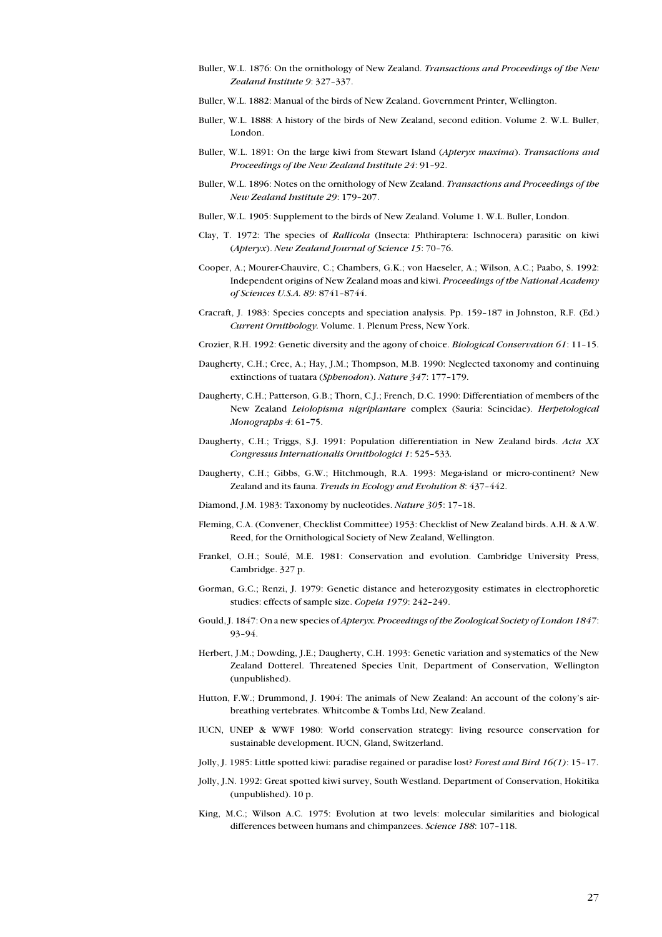- Buller, W.L. 1876: On the ornithology of New Zealand. Transactions and Proceedings of the New Zealand Institute 9: 327–337.
- Buller, W.L. 1882: Manual of the birds of New Zealand. Government Printer, Wellington.
- Buller, W.L. 1888: A history of the birds of New Zealand, second edition. Volume 2. W.L. Buller, London.
- Buller, W.L. 1891: On the large kiwi from Stewart Island (Apteryx maxima). Transactions and Proceedings of the New Zealand Institute 24: 91–92.
- Buller, W.L. 1896: Notes on the ornithology of New Zealand. Transactions and Proceedings of the New Zealand Institute 29: 179–207.
- Buller, W.L. 1905: Supplement to the birds of New Zealand. Volume 1. W.L. Buller, London.
- Clay, T. 1972: The species of Rallicola (Insecta: Phthiraptera: Ischnocera) parasitic on kiwi (Apteryx). New Zealand Journal of Science 15: 70–76.
- Cooper, A.; Mourer-Chauvire, C.; Chambers, G.K.; von Haeseler, A.; Wilson, A.C.; Paabo, S. 1992: Independent origins of New Zealand moas and kiwi. Proceedings of the National Academy of Sciences U.S.A. 89: 8741–8744.
- Cracraft, J. 1983: Species concepts and speciation analysis. Pp. 159–187 in Johnston, R.F. (Ed.) Current Ornithology. Volume. 1. Plenum Press, New York.
- Crozier, R.H. 1992: Genetic diversity and the agony of choice. Biological Conservation 61: 11–15.
- Daugherty, C.H.; Cree, A.; Hay, J.M.; Thompson, M.B. 1990: Neglected taxonomy and continuing extinctions of tuatara (Sphenodon). Nature 347: 177–179.
- Daugherty, C.H.; Patterson, G.B.; Thorn, C.J.; French, D.C. 1990: Differentiation of members of the New Zealand Leiolopisma nigriplantare complex (Sauria: Scincidae). Herpetological Monographs 4: 61-75.
- Daugherty, C.H.; Triggs, S.J. 1991: Population differentiation in New Zealand birds. Acta XX Congressus Internationalis Ornithologici 1: 525–533.
- Daugherty, C.H.; Gibbs, G.W.; Hitchmough, R.A. 1993: Mega-island or micro-continent? New Zealand and its fauna. Trends in Ecology and Evolution 8: 437–442.
- Diamond, J.M. 1983: Taxonomy by nucleotides. Nature 305: 17–18.
- Fleming, C.A. (Convener, Checklist Committee) 1953: Checklist of New Zealand birds. A.H. & A.W. Reed, for the Ornithological Society of New Zealand, Wellington.
- Frankel, O.H.; Soulé, M.E. 1981: Conservation and evolution. Cambridge University Press, Cambridge. 327 p.
- Gorman, G.C.; Renzi, J. 1979: Genetic distance and heterozygosity estimates in electrophoretic studies: effects of sample size. Copeia 1979: 242–249.
- Gould, J. 1847: On a new species of Apteryx. Proceedings of the Zoological Society of London 1847: 93–94.
- Herbert, J.M.; Dowding, J.E.; Daugherty, C.H. 1993: Genetic variation and systematics of the New Zealand Dotterel. Threatened Species Unit, Department of Conservation, Wellington (unpublished).
- Hutton, F.W.; Drummond, J. 1904: The animals of New Zealand: An account of the colony's airbreathing vertebrates. Whitcombe & Tombs Ltd, New Zealand.
- IUCN, UNEP & WWF 1980: World conservation strategy: living resource conservation for sustainable development. IUCN, Gland, Switzerland.
- Jolly, J. 1985: Little spotted kiwi: paradise regained or paradise lost? Forest and Bird 16(1): 15–17.
- Jolly, J.N. 1992: Great spotted kiwi survey, South Westland. Department of Conservation, Hokitika (unpublished). 10 p.
- King, M.C.; Wilson A.C. 1975: Evolution at two levels: molecular similarities and biological differences between humans and chimpanzees. Science 188: 107–118.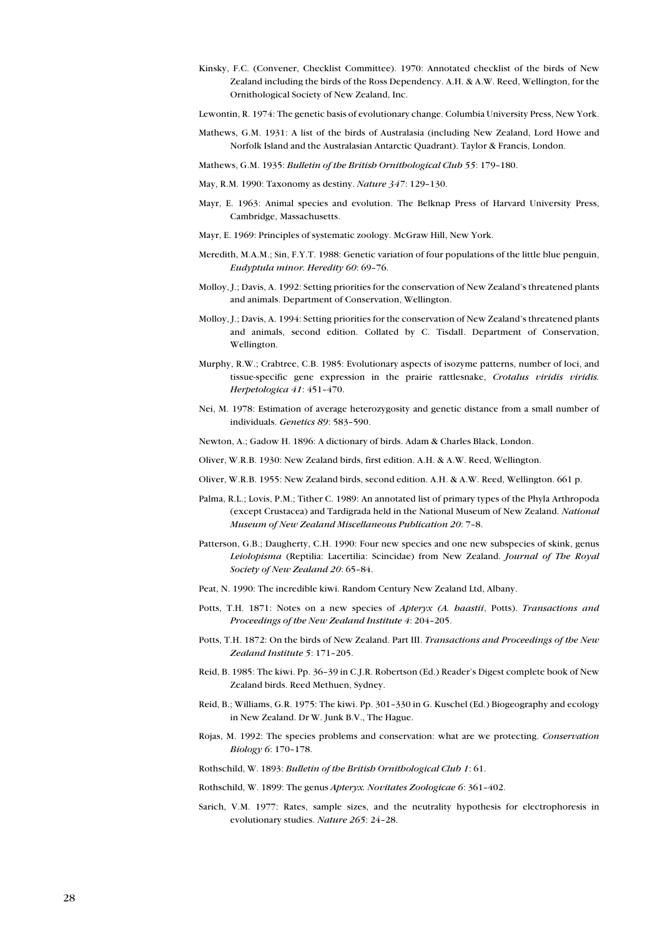- Kinsky, F.C. (Convener, Checklist Committee). 1970: Annotated checklist of the birds of New Zealand including the birds of the Ross Dependency. A.H. & A.W. Reed, Wellington, for the Ornithological Society of New Zealand, Inc.
- Lewontin, R. 1974: The genetic basis of evolutionary change. Columbia University Press, New York.
- Mathews, G.M. 1931: A list of the birds of Australasia (including New Zealand, Lord Howe and Norfolk Island and the Australasian Antarctic Quadrant). Taylor & Francis, London.
- Mathews, G.M. 1935: Bulletin of the British Ornithological Club 55: 179–180.
- May, R.M. 1990: Taxonomy as destiny. Nature 347: 129–130.
- Mayr, E. 1963: Animal species and evolution. The Belknap Press of Harvard University Press, Cambridge, Massachusetts.
- Mayr, E. 1969: Principles of systematic zoology. McGraw Hill, New York.
- Meredith, M.A.M.; Sin, F.Y.T. 1988: Genetic variation of four populations of the little blue penguin, Eudyptula minor. Heredity 60: 69–76.
- Molloy, J.; Davis, A. 1992: Setting priorities for the conservation of New Zealand's threatened plants and animals. Department of Conservation, Wellington.
- Molloy, J.; Davis, A. 1994: Setting priorities for the conservation of New Zealand's threatened plants and animals, second edition. Collated by C. Tisdall. Department of Conservation, Wellington.
- Murphy, R.W.; Crabtree, C.B. 1985: Evolutionary aspects of isozyme patterns, number of loci, and tissue-specific gene expression in the prairie rattlesnake, Crotalus viridis viridis. Herpetologica 41: 451–470.
- Nei, M. 1978: Estimation of average heterozygosity and genetic distance from a small number of individuals. Genetics 89: 583–590.
- Newton, A.; Gadow H. 1896: A dictionary of birds. Adam & Charles Black, London.
- Oliver, W.R.B. 1930: New Zealand birds, first edition. A.H. & A.W. Reed, Wellington.
- Oliver, W.R.B. 1955: New Zealand birds, second edition. A.H. & A.W. Reed, Wellington. 661 p.
- Palma, R.L.; Lovis, P.M.; Tither C. 1989: An annotated list of primary types of the Phyla Arthropoda (except Crustacea) and Tardigrada held in the National Museum of New Zealand. National Museum of New Zealand Miscellaneous Publication 20: 7–8.
- Patterson, G.B.; Daugherty, C.H. 1990: Four new species and one new subspecies of skink, genus Leiolopisma (Reptilia: Lacertilia: Scincidae) from New Zealand. Journal of The Royal Society of New Zealand 20: 65–84.
- Peat, N. 1990: The incredible kiwi. Random Century New Zealand Ltd, Albany.
- Potts, T.H. 1871: Notes on a new species of Apteryx (A. haastii, Potts). Transactions and Proceedings of the New Zealand Institute 4: 204–205.
- Potts, T.H. 1872: On the birds of New Zealand. Part III. Transactions and Proceedings of the New Zealand Institute 5: 171–205.
- Reid, B. 1985: The kiwi. Pp. 36–39 in C.J.R. Robertson (Ed.) Reader's Digest complete book of New Zealand birds. Reed Methuen, Sydney.
- Reid, B.; Williams, G.R. 1975: The kiwi. Pp. 301–330 in G. Kuschel (Ed.) Biogeography and ecology in New Zealand. Dr W. Junk B.V., The Hague.
- Rojas, M. 1992: The species problems and conservation: what are we protecting. Conservation Biology 6: 170–178.

Rothschild, W. 1893: Bulletin of the British Ornithological Club 1: 61.

- Rothschild, W. 1899: The genus Apteryx. Novitates Zoologicae 6: 361–402.
- Sarich, V.M. 1977: Rates, sample sizes, and the neutrality hypothesis for electrophoresis in evolutionary studies. Nature 265: 24–28.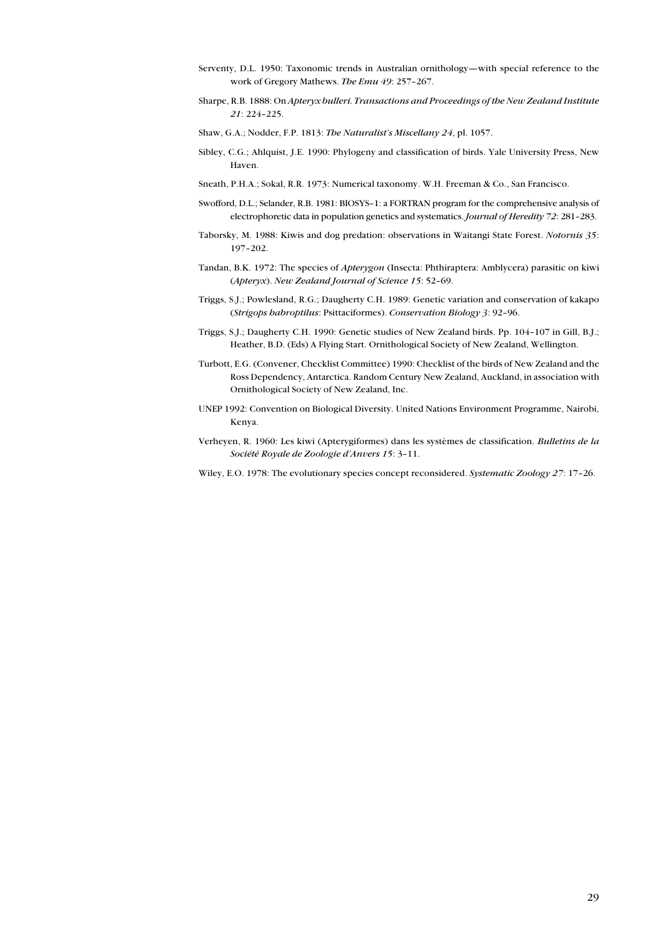- Serventy, D.L. 1950: Taxonomic trends in Australian ornithology—with special reference to the work of Gregory Mathews. The Emu 49: 257–267.
- Sharpe, R.B. 1888: On Apteryx bulleri. Transactions and Proceedings of the New Zealand Institute 21: 224–225.
- Shaw, G.A.; Nodder, F.P. 1813: The Naturalist's Miscellany 24, pl. 1057.
- Sibley, C.G.; Ahlquist, J.E. 1990: Phylogeny and classification of birds. Yale University Press, New Haven.
- Sneath, P.H.A.; Sokal, R.R. 1973: Numerical taxonomy. W.H. Freeman & Co., San Francisco.
- Swofford, D.L.; Selander, R.B. 1981: BIOSYS–1: a FORTRAN program for the comprehensive analysis of electrophoretic data in population genetics and systematics. Journal of Heredity 72: 281–283.
- Taborsky, M. 1988: Kiwis and dog predation: observations in Waitangi State Forest. Notornis 35: 197–202.
- Tandan, B.K. 1972: The species of Apterygon (Insecta: Phthiraptera: Amblycera) parasitic on kiwi (Apteryx). New Zealand Journal of Science 15: 52–69.
- Triggs, S.J.; Powlesland, R.G.; Daugherty C.H. 1989: Genetic variation and conservation of kakapo (Strigops habroptilus: Psittaciformes). Conservation Biology 3: 92–96.
- Triggs, S.J.; Daugherty C.H. 1990: Genetic studies of New Zealand birds. Pp. 104–107 in Gill, B.J.; Heather, B.D. (Eds) A Flying Start. Ornithological Society of New Zealand, Wellington.
- Turbott, E.G. (Convener, Checklist Committee) 1990: Checklist of the birds of New Zealand and the Ross Dependency, Antarctica. Random Century New Zealand, Auckland, in association with Ornithological Society of New Zealand, Inc.
- UNEP 1992: Convention on Biological Diversity. United Nations Environment Programme, Nairobi, Kenya.
- Verheyen, R. 1960: Les kiwi (Apterygiformes) dans les systèmes de classification. Bulletins de la Société Royale de Zoologie d'Anvers 15: 3–11.
- Wiley, E.O. 1978: The evolutionary species concept reconsidered. Systematic Zoology 27: 17-26.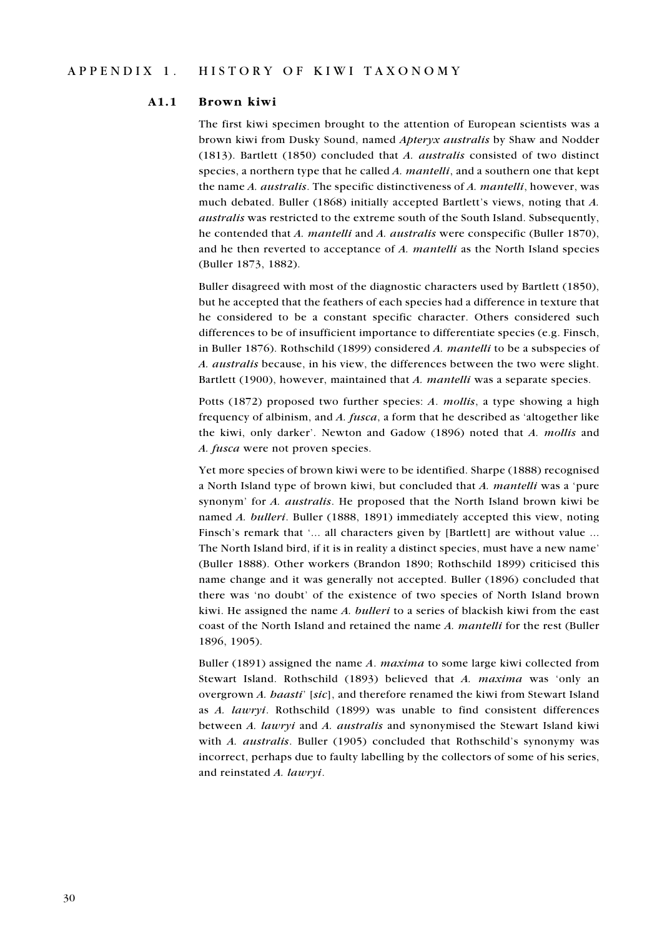#### A1.1 Brown kiwi

The first kiwi specimen brought to the attention of European scientists was a brown kiwi from Dusky Sound, named Apteryx australis by Shaw and Nodder (1813). Bartlett (1850) concluded that A. australis consisted of two distinct species, a northern type that he called A. mantelli, and a southern one that kept the name A. *australis*. The specific distinctiveness of A. *mantelli*, however, was much debated. Buller (1868) initially accepted Bartlett's views, noting that A. australis was restricted to the extreme south of the South Island. Subsequently, he contended that A. mantelli and A. australis were conspecific (Buller 1870), and he then reverted to acceptance of A. mantelli as the North Island species (Buller 1873, 1882).

Buller disagreed with most of the diagnostic characters used by Bartlett (1850), but he accepted that the feathers of each species had a difference in texture that he considered to be a constant specific character. Others considered such differences to be of insufficient importance to differentiate species (e.g. Finsch, in Buller 1876). Rothschild (1899) considered A. mantelli to be a subspecies of A. australis because, in his view, the differences between the two were slight. Bartlett (1900), however, maintained that A. mantelli was a separate species.

Potts (1872) proposed two further species: A. mollis, a type showing a high frequency of albinism, and A. fusca, a form that he described as 'altogether like the kiwi, only darker'. Newton and Gadow (1896) noted that A. mollis and A. fusca were not proven species.

Yet more species of brown kiwi were to be identified. Sharpe (1888) recognised a North Island type of brown kiwi, but concluded that A. mantelli was a 'pure synonym' for A. australis. He proposed that the North Island brown kiwi be named A. bulleri. Buller (1888, 1891) immediately accepted this view, noting Finsch's remark that '... all characters given by [Bartlett] are without value ... The North Island bird, if it is in reality a distinct species, must have a new name' (Buller 1888). Other workers (Brandon 1890; Rothschild 1899) criticised this name change and it was generally not accepted. Buller (1896) concluded that there was 'no doubt' of the existence of two species of North Island brown kiwi. He assigned the name A. bulleri to a series of blackish kiwi from the east coast of the North Island and retained the name A. mantelli for the rest (Buller 1896, 1905).

Buller (1891) assigned the name  $A$ . maxima to some large kiwi collected from Stewart Island. Rothschild (1893) believed that A. maxima was 'only an overgrown A. haasti' [sic], and therefore renamed the kiwi from Stewart Island as A. lawryi. Rothschild (1899) was unable to find consistent differences between A. lawryi and A. australis and synonymised the Stewart Island kiwi with A. australis. Buller (1905) concluded that Rothschild's synonymy was incorrect, perhaps due to faulty labelling by the collectors of some of his series, and reinstated A. lawryi.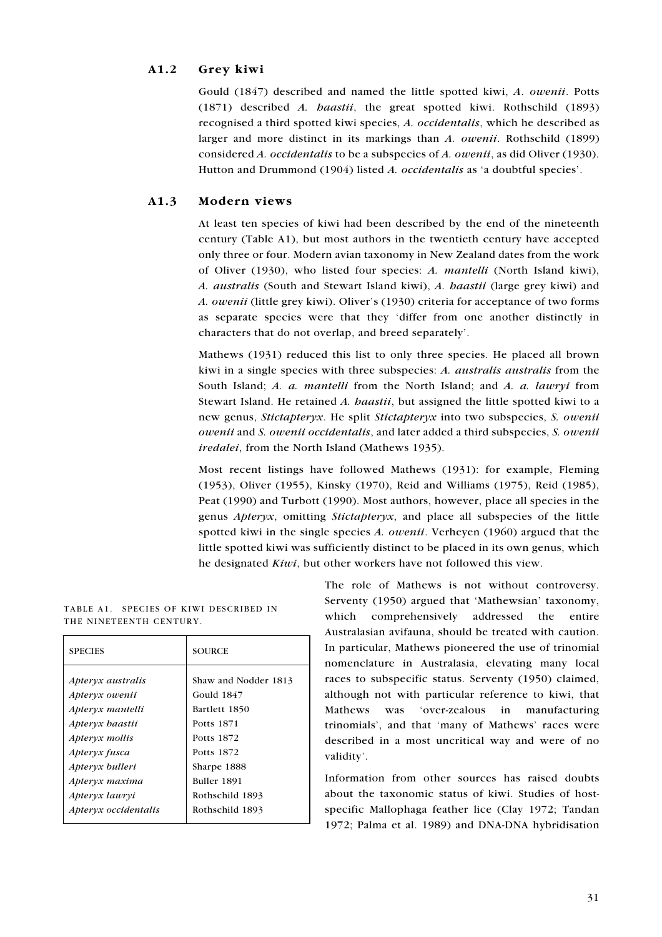#### A1.2 Grey kiwi

Gould (1847) described and named the little spotted kiwi, A. owenii. Potts (1871) described A. haastii, the great spotted kiwi. Rothschild (1893) recognised a third spotted kiwi species, A. occidentalis, which he described as larger and more distinct in its markings than A. owenii. Rothschild (1899) considered A. occidentalis to be a subspecies of A. owenii, as did Oliver (1930). Hutton and Drummond (1904) listed A. occidentalis as 'a doubtful species'.

#### A1.3 Modern views

At least ten species of kiwi had been described by the end of the nineteenth century (Table A1), but most authors in the twentieth century have accepted only three or four. Modern avian taxonomy in New Zealand dates from the work of Oliver (1930), who listed four species: A. mantelli (North Island kiwi), A. australis (South and Stewart Island kiwi), A. haastii (large grey kiwi) and A. owenii (little grey kiwi). Oliver's (1930) criteria for acceptance of two forms as separate species were that they 'differ from one another distinctly in characters that do not overlap, and breed separately'.

Mathews (1931) reduced this list to only three species. He placed all brown kiwi in a single species with three subspecies: A. australis australis from the South Island; A. a. mantelli from the North Island; and A. a. lawryi from Stewart Island. He retained A. *haastii*, but assigned the little spotted kiwi to a new genus, Stictapteryx. He split Stictapteryx into two subspecies, S. owenii owenii and S. owenii occidentalis, and later added a third subspecies, S. owenii iredalei, from the North Island (Mathews 1935).

Most recent listings have followed Mathews (1931): for example, Fleming (1953), Oliver (1955), Kinsky (1970), Reid and Williams (1975), Reid (1985), Peat (1990) and Turbott (1990). Most authors, however, place all species in the genus Apteryx, omitting Stictapteryx, and place all subspecies of the little spotted kiwi in the single species A. owenii. Verheyen (1960) argued that the little spotted kiwi was sufficiently distinct to be placed in its own genus, which he designated Kiwi, but other workers have not followed this view.

| <b>SPECIES</b>       | <b>SOURCE</b>        |  |
|----------------------|----------------------|--|
| Apteryx australis    | Shaw and Nodder 1813 |  |
| Apteryx owenii       | Gould 1847           |  |
| Apteryx mantelli     | Bartlett 1850        |  |
| Apteryx haastii      | Potts 1871           |  |
| Apteryx mollis       | Potts 1872           |  |
| Apteryx fusca        | Potts 1872           |  |
| Apteryx bulleri      | Sharpe 1888          |  |
| Apteryx maxima       | Buller 1891          |  |
| Apteryx lawryi       | Rothschild 1893      |  |
| Apteryx occidentalis | Rothschild 1893      |  |
|                      |                      |  |

#### TABLE A1. SPECIES OF KIWI DESCRIBED IN THE NINETEENTH CENTURY.

The role of Mathews is not without controversy. Serventy (1950) argued that 'Mathewsian' taxonomy, which comprehensively addressed the entire Australasian avifauna, should be treated with caution. In particular, Mathews pioneered the use of trinomial nomenclature in Australasia, elevating many local races to subspecific status. Serventy (1950) claimed, although not with particular reference to kiwi, that Mathews was 'over-zealous in manufacturing trinomials', and that 'many of Mathews' races were described in a most uncritical way and were of no validity'.

Information from other sources has raised doubts about the taxonomic status of kiwi. Studies of hostspecific Mallophaga feather lice (Clay 1972; Tandan 1972; Palma et al. 1989) and DNA-DNA hybridisation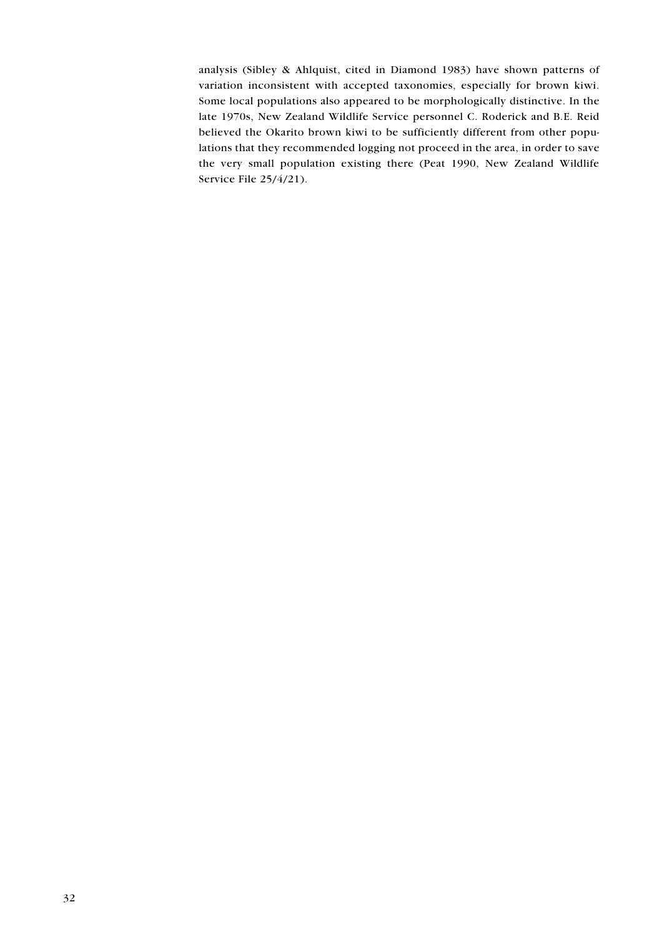analysis (Sibley & Ahlquist, cited in Diamond 1983) have shown patterns of variation inconsistent with accepted taxonomies, especially for brown kiwi. Some local populations also appeared to be morphologically distinctive. In the late 1970s, New Zealand Wildlife Service personnel C. Roderick and B.E. Reid believed the Okarito brown kiwi to be sufficiently different from other populations that they recommended logging not proceed in the area, in order to save the very small population existing there (Peat 1990, New Zealand Wildlife Service File 25/4/21).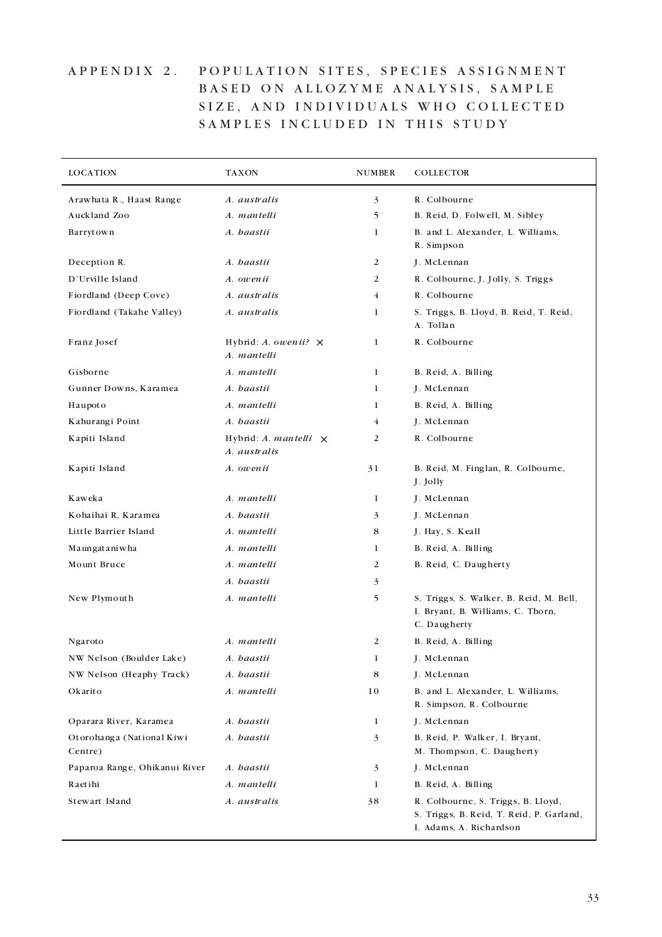# APPENDIX 2. POPULATION SITES, SPECIES ASSIGNMENT BASED ON ALLOZYME ANALYSIS, SAMPLE SIZE, AND INDIVIDUALS WHO COLLECTED SAMPLES INCLUDED IN THIS STUDY

| <b>LOCATION</b>                      | <b>TAXON</b>                                 | <b>NUMBER</b> | <b>COLLECTOR</b>                                                                                          |
|--------------------------------------|----------------------------------------------|---------------|-----------------------------------------------------------------------------------------------------------|
| Arawhata R., Haast Range             | A. australis                                 | 3             | R. Colbourne                                                                                              |
| Auckland Zoo                         | A. mantelli                                  | 5             | B. Reid, D. Folwell, M. Sibley                                                                            |
| Barrytown                            | A. haastii                                   | 1             | B. and L. Alexander, L. Williams,<br>R. Simpson                                                           |
| Deception R.                         | A. haastii                                   | 2             | J. McLennan                                                                                               |
| D'Urville Island                     | A. owenii                                    | 2             | R. Colbourne, J. Jolly, S. Triggs                                                                         |
| Fiordland (Deep Cove)                | A. australis                                 | 4             | R. Colbourne                                                                                              |
| Fiordland (Takahe Valley)            | A. australis                                 | 1             | S. Triggs, B. Lloyd, B. Reid, T. Reid,<br>A. Tollan                                                       |
| Franz Josef                          | Hybrid: A. owenii? $\times$<br>A. mantelli   | 1             | R. Colbourne                                                                                              |
| Gisborne                             | A. mantelli                                  | 1             | B. Reid, A. Billing                                                                                       |
| Gunner Downs, Karamea                | A. haastii                                   | 1             | J. McLennan                                                                                               |
| Haupoto                              | A. mantelli                                  | 1             | B. Reid, A. Billing                                                                                       |
| Kahurangi Point                      | A. haastii                                   | 4             | J. McLennan                                                                                               |
| Kapiti Island                        | Hybrid: A. mantelli $\times$<br>A. australis | 2             | R. Colbourne                                                                                              |
| Kapiti Island                        | A. owenii                                    | 31            | B. Reid, M. Finglan, R. Colbourne,<br>J. Jolly                                                            |
| Kaweka                               | A. mantelli                                  | 1             | J. McLennan                                                                                               |
| Kohaihai R, Karamea                  | A. haastii                                   | 3             | J. McLennan                                                                                               |
| Little Barrier Island                | A. mantelli                                  | 8             | J. Hay, S. Keall                                                                                          |
| Maungataniwha                        | A. mantelli                                  | 1             | B. Reid, A. Billing                                                                                       |
| Mount Bruce                          | A. mantelli                                  | 2             | B. Reid, C. Daugherty                                                                                     |
|                                      | A. haastii                                   | 3             |                                                                                                           |
| New Plymouth                         | A. mantelli                                  | 5             | S. Triggs, S. Walker, B. Reid, M. Bell,<br>I. Bryant, B. Williams, C. Thorn,<br>C. Daugherty              |
| Ngaroto                              | A. mantelli                                  | 2             | B. Reid, A. Billing                                                                                       |
| NW Nelson (Boulder Lake)             | A. haastii                                   | $\mathbf{1}$  | J. McLennan                                                                                               |
| NW Nelson (Heaphy Track)             | A. haastii                                   | 8             | J. McLennan                                                                                               |
| Okarito                              | A. mantelli                                  | 10            | B. and L. Alexander, L. Williams,<br>R. Simpson, R. Colbourne                                             |
| Oparara River, Karamea               | A. haastii                                   | $\mathbf{1}$  | J. McLennan                                                                                               |
| Otorohanga (National Kiwi<br>Centre) | A. haastii                                   | 3             | B. Reid, P. Walker, I. Bryant,<br>M. Thompson, C. Daugherty                                               |
| Paparoa Range, Ohikanui River        | A. haastii                                   | 3             | J. McLennan                                                                                               |
| Raetihi                              | A. mantelli                                  | 1             | B. Reid, A. Billing                                                                                       |
| Stewart Island                       | A. australis                                 | 38            | R. Colbourne, S. Triggs, B. Lloyd,<br>S. Triggs, B. Reid, T. Reid, P. Garland,<br>I. Adams, A. Richardson |